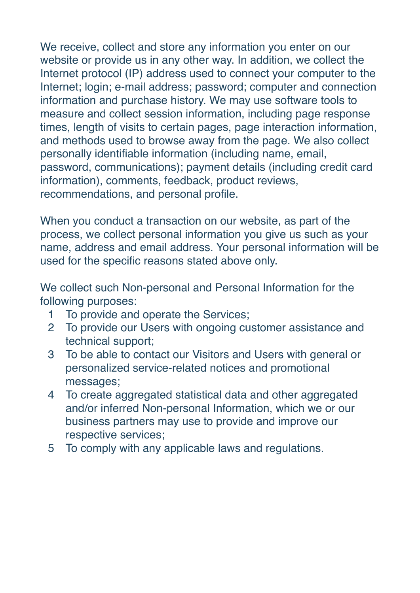We receive, collect and store any information you enter on our website or provide us in any other way. In addition, we collect the Internet protocol (IP) address used to connect your computer to the Internet; login; e-mail address; password; computer and connection information and purchase history. We may use software tools to measure and collect session information, including page response times, length of visits to certain pages, page interaction information, and methods used to browse away from the page. We also collect personally identifiable information (including name, email, password, communications); payment details (including credit card information), comments, feedback, product reviews, recommendations, and personal profile.

When you conduct a transaction on our website, as part of the process, we collect personal information you give us such as your name, address and email address. Your personal information will be used for the specific reasons stated above only.

We collect such Non-personal and Personal Information for the following purposes:

- 1 To provide and operate the Services;
- 2 To provide our Users with ongoing customer assistance and technical support;
- 3 To be able to contact our Visitors and Users with general or personalized service-related notices and promotional messages;
- 4 To create aggregated statistical data and other aggregated and/or inferred Non-personal Information, which we or our business partners may use to provide and improve our respective services;
- 5 To comply with any applicable laws and regulations.